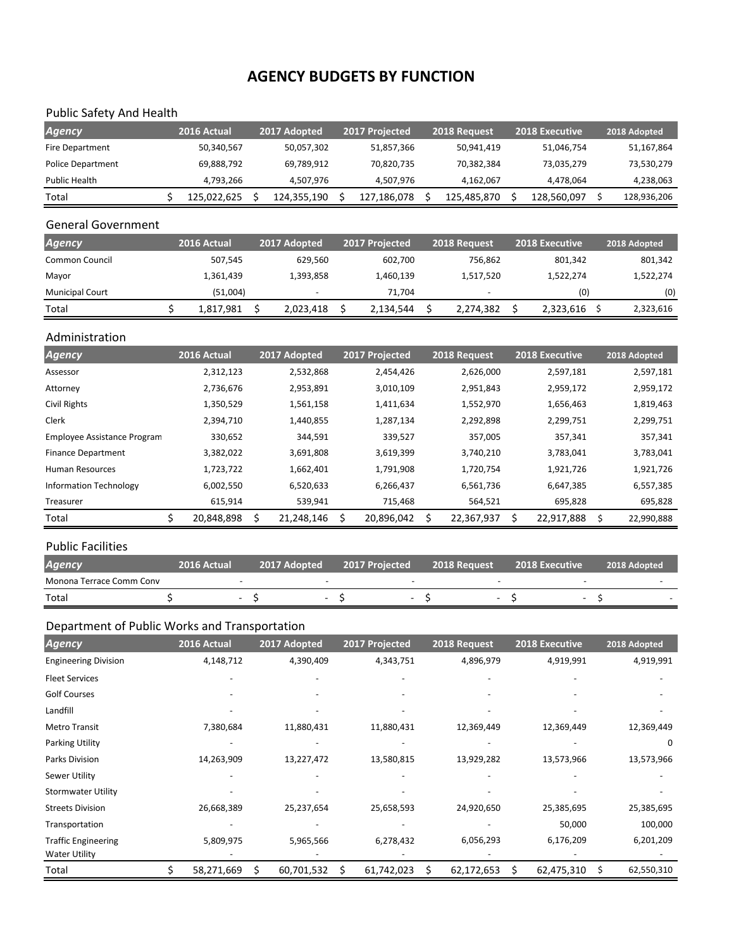# **AGENCY BUDGETS BY FUNCTION**

## Public Safety And Health

| Agency            | 2016 Actual | 2017 Adopted | 2017 Projected | 2018 Request | <b>2018 Executive</b> | 2018 Adopted |
|-------------------|-------------|--------------|----------------|--------------|-----------------------|--------------|
| Fire Department   | 50,340,567  | 50,057,302   | 51,857,366     | 50,941,419   | 51,046,754            | 51,167,864   |
| Police Department | 69,888,792  | 69.789.912   | 70,820,735     | 70,382,384   | 73,035,279            | 73,530,279   |
| Public Health     | 4.793.266   | 4.507.976    | 4.507.976      | 4.162.067    | 4.478.064             | 4,238,063    |
| Total             | 125,022,625 | 124,355,190  | 127,186,078    | 125,485,870  | 128,560,097           | 128,936,206  |

### General Government

| <b>Agency</b>          | 2016 Actual | 2017 Adopted | 2017 Projected | 2018 Request             | <b>2018 Executive</b> | 2018 Adopted |
|------------------------|-------------|--------------|----------------|--------------------------|-----------------------|--------------|
| <b>Common Council</b>  | 507,545     | 629.560      | 602.700        | 756.862                  | 801.342               | 801,342      |
| Mayor                  | 1,361,439   | 1.393.858    | 1,460,139      | 1,517,520                | 1,522,274             | 1,522,274    |
| <b>Municipal Court</b> | (51,004)    | -            | 71.704         | $\overline{\phantom{a}}$ | (0)                   | (0)          |
| Total                  | 1,817,981   | 2,023,418    | 2,134,544      | 2,274,382                | 2,323,616             | 2,323,616    |

#### Administration

| <b>Agency</b>                 | 2016 Actual | 2017 Adopted | 2017 Projected | 2018 Request | <b>2018 Executive</b> | 2018 Adopted |
|-------------------------------|-------------|--------------|----------------|--------------|-----------------------|--------------|
| Assessor                      | 2,312,123   | 2,532,868    | 2,454,426      | 2,626,000    | 2,597,181             | 2,597,181    |
| Attorney                      | 2,736,676   | 2,953,891    | 3,010,109      | 2,951,843    | 2,959,172             | 2,959,172    |
| Civil Rights                  | 1,350,529   | 1,561,158    | 1,411,634      | 1,552,970    | 1,656,463             | 1,819,463    |
| Clerk                         | 2,394,710   | 1,440,855    | 1,287,134      | 2,292,898    | 2,299,751             | 2,299,751    |
| Employee Assistance Program   | 330,652     | 344,591      | 339,527        | 357,005      | 357,341               | 357,341      |
| <b>Finance Department</b>     | 3,382,022   | 3,691,808    | 3,619,399      | 3,740,210    | 3,783,041             | 3,783,041    |
| <b>Human Resources</b>        | 1,723,722   | 1,662,401    | 1,791,908      | 1,720,754    | 1,921,726             | 1,921,726    |
| <b>Information Technology</b> | 6,002,550   | 6,520,633    | 6,266,437      | 6,561,736    | 6,647,385             | 6,557,385    |
| Treasurer                     | 615,914     | 539,941      | 715,468        | 564,521      | 695,828               | 695,828      |
| Total                         | 20,848,898  | 21,248,146   | 20,896,042     | 22,367,937   | 22,917,888            | 22,990,888   |

#### Public Facilities

| <b>Agency</b>            | 2016 Actual | 2017 Adopted | 2017 Proiected | 2018 Request | <b>2018 Executive</b> | 2018 Adopted |
|--------------------------|-------------|--------------|----------------|--------------|-----------------------|--------------|
| Monona Terrace Comm Conv |             |              |                |              |                       |              |
| Total                    |             | $\sim$       | -              |              |                       |              |

# Department of Public Works and Transportation

| <b>Agency</b>               | 2016 Actual |   | 2017 Adopted | 2017 Projected |   | 2018 Request | 2018 Executive |     | 2018 Adopted |
|-----------------------------|-------------|---|--------------|----------------|---|--------------|----------------|-----|--------------|
| <b>Engineering Division</b> | 4,148,712   |   | 4,390,409    | 4,343,751      |   | 4,896,979    | 4,919,991      |     | 4,919,991    |
| <b>Fleet Services</b>       |             |   |              |                |   |              |                |     |              |
| <b>Golf Courses</b>         |             |   |              |                |   |              |                |     |              |
| Landfill                    |             |   |              |                |   |              |                |     |              |
| <b>Metro Transit</b>        | 7,380,684   |   | 11,880,431   | 11,880,431     |   | 12,369,449   | 12,369,449     |     | 12,369,449   |
| <b>Parking Utility</b>      |             |   |              |                |   |              |                |     | 0            |
| Parks Division              | 14,263,909  |   | 13,227,472   | 13,580,815     |   | 13,929,282   | 13,573,966     |     | 13,573,966   |
| Sewer Utility               |             |   |              |                |   |              |                |     |              |
| <b>Stormwater Utility</b>   |             |   |              |                |   |              |                |     |              |
| <b>Streets Division</b>     | 26,668,389  |   | 25,237,654   | 25,658,593     |   | 24,920,650   | 25,385,695     |     | 25,385,695   |
| Transportation              |             |   |              |                |   |              | 50,000         |     | 100,000      |
| <b>Traffic Engineering</b>  | 5,809,975   |   | 5,965,566    | 6,278,432      |   | 6,056,293    | 6,176,209      |     | 6,201,209    |
| <b>Water Utility</b>        |             |   |              |                |   |              |                |     |              |
| Total                       | 58,271,669  | Ś | 60,701,532   | 61,742,023     | Ś | 62,172,653   | 62,475,310     | \$. | 62,550,310   |